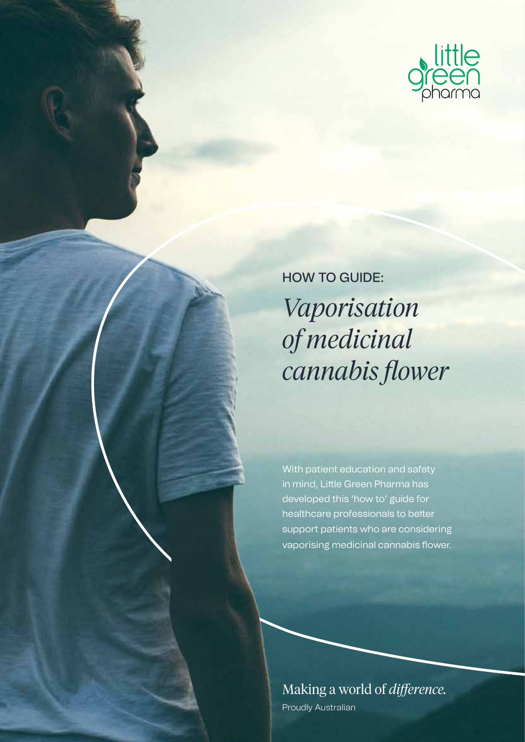

HOW TO GUIDE: *Vaporisation of medicinal cannabis flower*

With patient education and safety in mind, Little Green Pharma has developed this 'how to' guide for healthcare professionals to better support patients who are considering vaporising medicinal cannabis flower.

Making a world of *difference.* Proudly Australian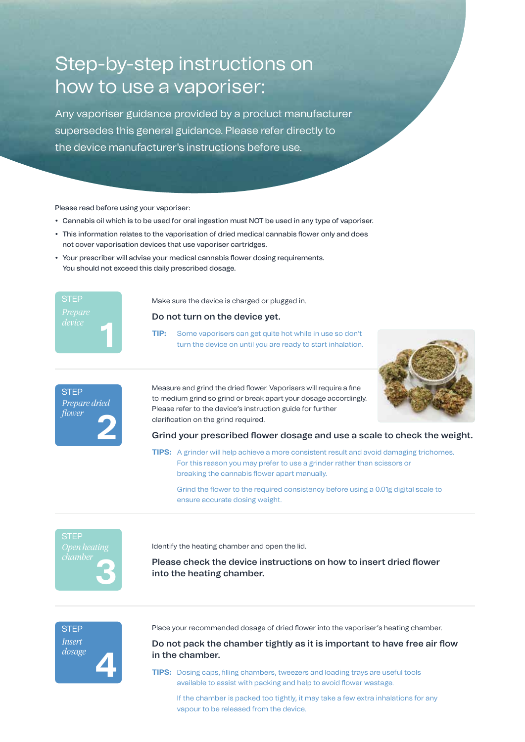# Step-by-step instructions on how to use a vaporiser:

Any vaporiser guidance provided by a product manufacturer supersedes this general guidance. Please refer directly to the device manufacturer's instructions before use.

Please read before using your vaporiser:

- Cannabis oil which is to be used for oral ingestion must NOT be used in any type of vaporiser.
- This information relates to the vaporisation of dried medical cannabis flower only and does not cover vaporisation devices that use vaporiser cartridges.
- Your prescriber will advise your medical cannabis flower dosing requirements. You should not exceed this daily prescribed dosage.



**STEP** 

*Prepare dried flower*

**2**

Make sure the device is charged or plugged in.

# **Do not turn on the device yet.**

**TIP:** Some vaporisers can get quite hot while in use so don't turn the device on until you are ready to start inhalation.



Measure and grind the dried flower. Vaporisers will require a fine to medium grind so grind or break apart your dosage accordingly. Please refer to the device's instruction guide for further clarification on the grind required.

**Grind your prescribed flower dosage and use a scale to check the weight.**

**TIPS:** A grinder will help achieve a more consistent result and avoid damaging trichomes. For this reason you may prefer to use a grinder rather than scissors or breaking the cannabis flower apart manually.

 Grind the flower to the required consistency before using a 0.01g digital scale to ensure accurate dosing weight.



Identify the heating chamber and open the lid.

**Please check the device instructions on how to insert dried flower into the heating chamber.**

**4 STEP** *Insert dosage*

Place your recommended dosage of dried flower into the vaporiser's heating chamber.

**Do not pack the chamber tightly as it is important to have free air flow in the chamber.**

**TIPS:** Dosing caps, filling chambers, tweezers and loading trays are useful tools available to assist with packing and help to avoid flower wastage.

 If the chamber is packed too tightly, it may take a few extra inhalations for any vapour to be released from the device.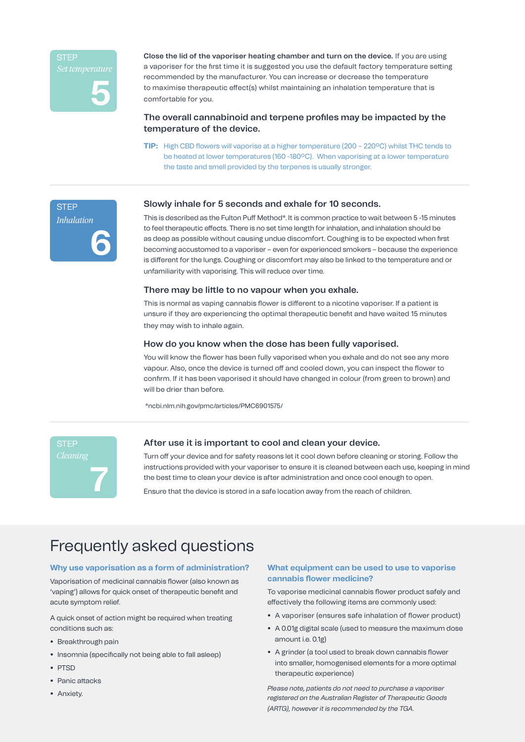

**STEP** 

*Inhalation*

**6**

**Close the lid of the vaporiser heating chamber and turn on the device.** If you are using a vaporiser for the first time it is suggested you use the default factory temperature setting recommended by the manufacturer. You can increase or decrease the temperature to maximise therapeutic effect(s) whilst maintaining an inhalation temperature that is comfortable for you.

# **The overall cannabinoid and terpene profiles may be impacted by the temperature of the device.**

**TIP:** High CBD flowers will vaporise at a higher temperature (200 – 220ºC) whilst THC tends to be heated at lower temperatures (160 -180ºC). When vaporising at a lower temperature the taste and smell provided by the terpenes is usually stronger.

#### **Slowly inhale for 5 seconds and exhale for 10 seconds.**

This is described as the Fulton Puff Method\*. It is common practice to wait between 5 -15 minutes to feel therapeutic effects. There is no set time length for inhalation, and inhalation should be as deep as possible without causing undue discomfort. Coughing is to be expected when first becoming accustomed to a vaporiser – even for experienced smokers – because the experience is different for the lungs. Coughing or discomfort may also be linked to the temperature and or unfamiliarity with vaporising. This will reduce over time.

#### **There may be little to no vapour when you exhale.**

This is normal as vaping cannabis flower is different to a nicotine vaporiser. If a patient is unsure if they are experiencing the optimal therapeutic benefit and have waited 15 minutes they may wish to inhale again.

# **How do you know when the dose has been fully vaporised.**

You will know the flower has been fully vaporised when you exhale and do not see any more vapour. Also, once the device is turned off and cooled down, you can inspect the flower to confirm. If it has been vaporised it should have changed in colour (from green to brown) and will be drier than before.

\*ncbi.nlm.nih.gov/pmc/articles/PMC6901575/



# **After use it is important to cool and clean your device.**

Turn off your device and for safety reasons let it cool down before cleaning or storing. Follow the instructions provided with your vaporiser to ensure it is cleaned between each use, keeping in mind the best time to clean your device is after administration and once cool enough to open.

Ensure that the device is stored in a safe location away from the reach of children.

# Frequently asked questions

#### **Why use vaporisation as a form of administration?**

Vaporisation of medicinal cannabis flower (also known as 'vaping') allows for quick onset of therapeutic benefit and acute symptom relief.

A quick onset of action might be required when treating conditions such as:

- **•** Breakthrough pain
- **•** Insomnia (specifically not being able to fall asleep)
- **•** PTSD
- **•** Panic attacks
- **•** Anxiety.

# **What equipment can be used to use to vaporise cannabis flower medicine?**

To vaporise medicinal cannabis flower product safely and effectively the following items are commonly used:

- **•** A vaporiser (ensures safe inhalation of flower product)
- **•** A 0.01g digital scale (used to measure the maximum dose amount i.e. 0.1g)
- **•** A grinder (a tool used to break down cannabis flower into smaller, homogenised elements for a more optimal therapeutic experience)

*Please note, patients do not need to purchase a vaporiser registered on the Australian Register of Therapeutic Goods (ARTG), however it is recommended by the TGA.*